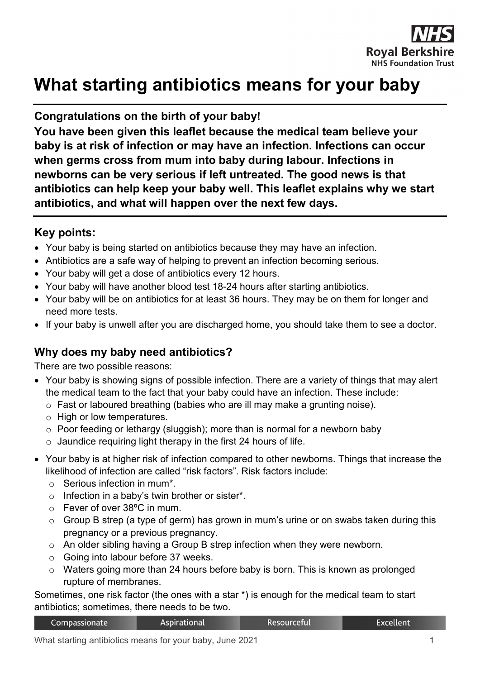

# **What starting antibiotics means for your baby**

### **Congratulations on the birth of your baby!**

**You have been given this leaflet because the medical team believe your baby is at risk of infection or may have an infection. Infections can occur when germs cross from mum into baby during labour. Infections in newborns can be very serious if left untreated. The good news is that antibiotics can help keep your baby well. This leaflet explains why we start antibiotics, and what will happen over the next few days.**

## **Key points:**

- Your baby is being started on antibiotics because they may have an infection.
- Antibiotics are a safe way of helping to prevent an infection becoming serious.
- Your baby will get a dose of antibiotics every 12 hours.
- Your baby will have another blood test 18-24 hours after starting antibiotics.
- Your baby will be on antibiotics for at least 36 hours. They may be on them for longer and need more tests.
- If your baby is unwell after you are discharged home, you should take them to see a doctor.

#### **Why does my baby need antibiotics?**

There are two possible reasons:

- Your baby is showing signs of possible infection. There are a variety of things that may alert the medical team to the fact that your baby could have an infection. These include:
	- o Fast or laboured breathing (babies who are ill may make a grunting noise).
	- o High or low temperatures.
	- $\circ$  Poor feeding or lethargy (sluggish); more than is normal for a newborn baby
	- $\circ$  Jaundice requiring light therapy in the first 24 hours of life.
- Your baby is at higher risk of infection compared to other newborns. Things that increase the likelihood of infection are called "risk factors". Risk factors include:
	- o Serious infection in mum\*.
	- $\circ$  Infection in a baby's twin brother or sister\*.
	- o Fever of over 38ºC in mum.
	- $\circ$  Group B strep (a type of germ) has grown in mum's urine or on swabs taken during this pregnancy or a previous pregnancy.
	- $\circ$  An older sibling having a Group B strep infection when they were newborn.
	- o Going into labour before 37 weeks.
	- o Waters going more than 24 hours before baby is born. This is known as prolonged rupture of membranes.

Sometimes, one risk factor (the ones with a star \*) is enough for the medical team to start antibiotics; sometimes, there needs to be two.

Resourceful

**Excellent** 

**Aspirational**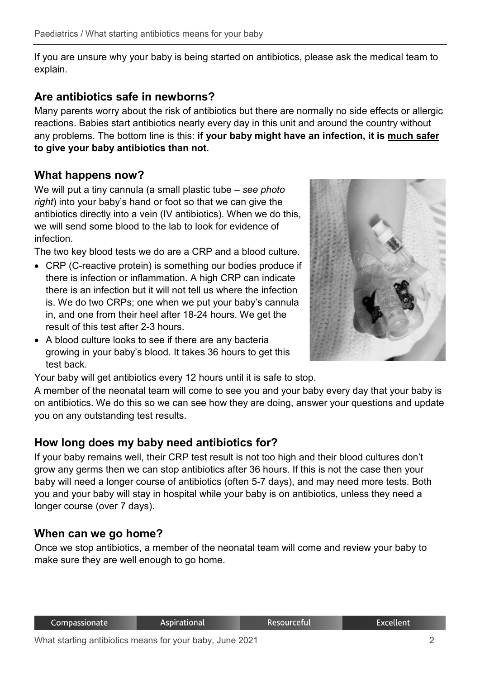If you are unsure why your baby is being started on antibiotics, please ask the medical team to explain.

## **Are antibiotics safe in newborns?**

Many parents worry about the risk of antibiotics but there are normally no side effects or allergic reactions. Babies start antibiotics nearly every day in this unit and around the country without any problems. The bottom line is this: **if your baby might have an infection, it is much safer to give your baby antibiotics than not.**

# **What happens now?**

We will put a tiny cannula (a small plastic tube – *see photo right*) into your baby's hand or foot so that we can give the antibiotics directly into a vein (IV antibiotics). When we do this, we will send some blood to the lab to look for evidence of infection.

The two key blood tests we do are a CRP and a blood culture.

- CRP (C-reactive protein) is something our bodies produce if there is infection or inflammation. A high CRP can indicate there is an infection but it will not tell us where the infection is. We do two CRPs; one when we put your baby's cannula in, and one from their heel after 18-24 hours. We get the result of this test after 2-3 hours.
- A blood culture looks to see if there are any bacteria growing in your baby's blood. It takes 36 hours to get this test back.



Your baby will get antibiotics every 12 hours until it is safe to stop.

A member of the neonatal team will come to see you and your baby every day that your baby is on antibiotics. We do this so we can see how they are doing, answer your questions and update you on any outstanding test results.

# **How long does my baby need antibiotics for?**

If your baby remains well, their CRP test result is not too high and their blood cultures don't grow any germs then we can stop antibiotics after 36 hours. If this is not the case then your baby will need a longer course of antibiotics (often 5-7 days), and may need more tests. Both you and your baby will stay in hospital while your baby is on antibiotics, unless they need a longer course (over 7 days).

# **When can we go home?**

Once we stop antibiotics, a member of the neonatal team will come and review your baby to make sure they are well enough to go home.

Resourceful

**Excellent**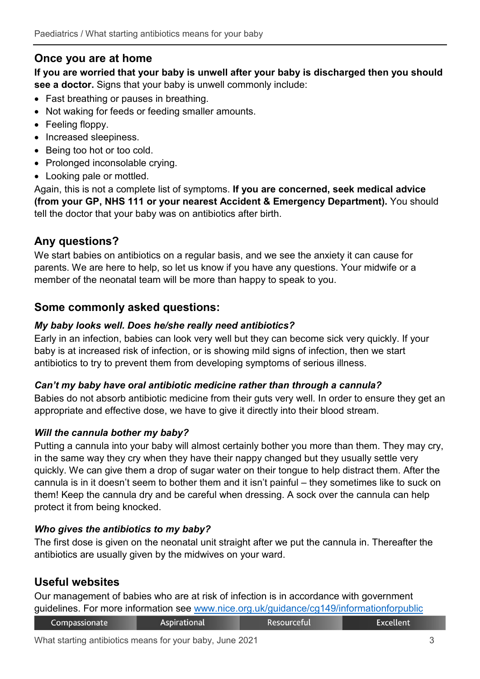## **Once you are at home**

**If you are worried that your baby is unwell after your baby is discharged then you should see a doctor.** Signs that your baby is unwell commonly include:

- Fast breathing or pauses in breathing.
- Not waking for feeds or feeding smaller amounts.
- Feeling floppy.
- Increased sleepiness.
- Being too hot or too cold.
- Prolonged inconsolable crying.
- Looking pale or mottled.

Again, this is not a complete list of symptoms. **If you are concerned, seek medical advice (from your GP, NHS 111 or your nearest Accident & Emergency Department).** You should tell the doctor that your baby was on antibiotics after birth.

## **Any questions?**

We start babies on antibiotics on a regular basis, and we see the anxiety it can cause for parents. We are here to help, so let us know if you have any questions. Your midwife or a member of the neonatal team will be more than happy to speak to you.

#### **Some commonly asked questions:**

#### *My baby looks well. Does he/she really need antibiotics?*

Early in an infection, babies can look very well but they can become sick very quickly. If your baby is at increased risk of infection, or is showing mild signs of infection, then we start antibiotics to try to prevent them from developing symptoms of serious illness.

#### *Can't my baby have oral antibiotic medicine rather than through a cannula?*

Babies do not absorb antibiotic medicine from their guts very well. In order to ensure they get an appropriate and effective dose, we have to give it directly into their blood stream.

#### *Will the cannula bother my baby?*

Putting a cannula into your baby will almost certainly bother you more than them. They may cry, in the same way they cry when they have their nappy changed but they usually settle very quickly. We can give them a drop of sugar water on their tongue to help distract them. After the cannula is in it doesn't seem to bother them and it isn't painful – they sometimes like to suck on them! Keep the cannula dry and be careful when dressing. A sock over the cannula can help protect it from being knocked.

#### *Who gives the antibiotics to my baby?*

The first dose is given on the neonatal unit straight after we put the cannula in. Thereafter the antibiotics are usually given by the midwives on your ward.

# **Useful websites**

Our management of babies who are at risk of infection is in accordance with government guidelines. For more information see [www.nice.org.uk/guidance/cg149/informationforpublic](http://www.nice.org.uk/guidance/cg149/informationforpublic)

| Compassionate | <b>Aspirational</b> | Resourceful | <b>Excellent</b> |
|---------------|---------------------|-------------|------------------|
|               |                     |             |                  |

What starting antibiotics means for your baby, June 2021 **3** 3